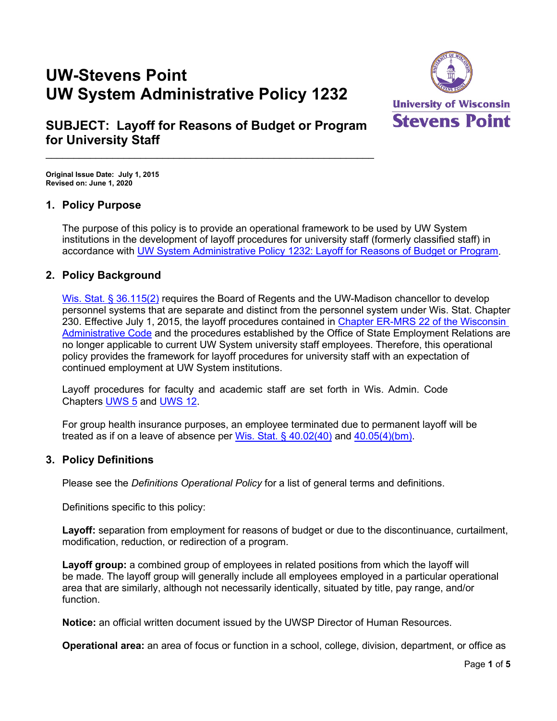# **UW-Stevens Point UW System Administrative Policy 1232**



# **SUBJECT: Layoff for Reasons of Budget or Program for University Staff**

 $\_$  , and the set of the set of the set of the set of the set of the set of the set of the set of the set of the set of the set of the set of the set of the set of the set of the set of the set of the set of the set of th

**Original Issue Date: July 1, 2015 Revised on: June 1, 2020**

# **1. Policy Purpose**

The purpose of this policy is to provide an operational framework to be used by UW System institutions in the development of layoff procedures for university staff (formerly classified staff) in accordance with [UW System Administrative Policy 1232: Layoff for Reasons of Budget or Program.](https://www.wisconsin.edu/uw-policies/uw-system-administrative-policies/layoff-for-reasons-of-budget-or-program/)

# **2. Policy Background**

[Wis. Stat. § 36.115\(2\)](http://docs.legis.wisconsin.gov/statutes/statutes/36/115/6) requires the Board of Regents and the UW-Madison chancellor to develop personnel systems that are separate and distinct from the personnel system under Wis. Stat. Chapter 230. Effective July 1, 2015, the layoff procedures contained in Chapter ER-MRS [22 of the Wisconsin](http://docs.legis.wisconsin.gov/code/admin_code/er_mrs/22.pdf)  [Administrative Code](http://docs.legis.wisconsin.gov/code/admin_code/er_mrs/22.pdf) and the procedures established by the Office of State Employment Relations are no longer applicable to current UW System university staff employees. Therefore, this operational policy provides the framework for layoff procedures for university staff with an expectation of continued employment at UW System institutions.

Layoff procedures for faculty and academic staff are set forth in Wis. Admin. Code Chapters [UWS 5](http://docs.legis.wisconsin.gov/code/admin_code/uws/5.pdf) and [UWS 12.](http://docs.legis.wisconsin.gov/code/admin_code/uws/12.pdf)

For group health insurance purposes, an employee terminated due to permanent layoff will be treated as if on a leave of absence per [Wis. Stat. § 40.02\(40\)](https://docs.legis.wisconsin.gov/statutes/statutes/40/II/20) and [40.05\(4\)\(bm\).](https://docs.legis.wisconsin.gov/statutes/statutes/40/I/05/4)

# **3. Policy Definitions**

Please see the *Definitions Operational Policy* for a list of general terms and definitions.

Definitions specific to this policy:

**Layoff:** separation from employment for reasons of budget or due to the discontinuance, curtailment, modification, reduction, or redirection of a program.

**Layoff group:** a combined group of employees in related positions from which the layoff will be made. The layoff group will generally include all employees employed in a particular operational area that are similarly, although not necessarily identically, situated by title, pay range, and/or function.

**Notice:** an official written document issued by the UWSP Director of Human Resources.

**Operational area:** an area of focus or function in a school, college, division, department, or office as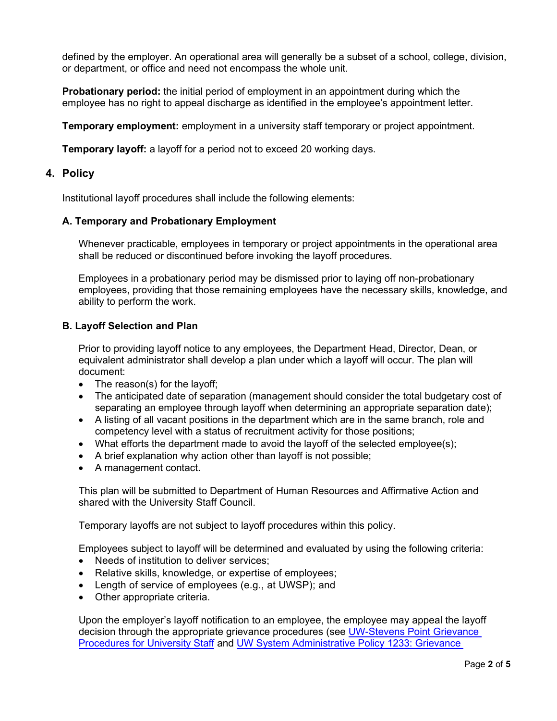defined by the employer. An operational area will generally be a subset of a school, college, division, or department, or office and need not encompass the whole unit.

**Probationary period:** the initial period of employment in an appointment during which the employee has no right to appeal discharge as identified in the employee's appointment letter.

**Temporary employment:** employment in a university staff temporary or project appointment.

**Temporary layoff:** a layoff for a period not to exceed 20 working days.

#### **4. Policy**

Institutional layoff procedures shall include the following elements:

#### **A. Temporary and Probationary Employment**

Whenever practicable, employees in temporary or project appointments in the operational area shall be reduced or discontinued before invoking the layoff procedures.

Employees in a probationary period may be dismissed prior to laying off non-probationary employees, providing that those remaining employees have the necessary skills, knowledge, and ability to perform the work.

#### **B. Layoff Selection and Plan**

Prior to providing layoff notice to any employees, the Department Head, Director, Dean, or equivalent administrator shall develop a plan under which a layoff will occur. The plan will document:

- The reason(s) for the layoff;
- The anticipated date of separation (management should consider the total budgetary cost of separating an employee through layoff when determining an appropriate separation date);
- A listing of all vacant positions in the department which are in the same branch, role and competency level with a status of recruitment activity for those positions;
- What efforts the department made to avoid the layoff of the selected employee(s);
- A brief explanation why action other than layoff is not possible;
- A management contact.

This plan will be submitted to Department of Human Resources and Affirmative Action and shared with the University Staff Council.

Temporary layoffs are not subject to layoff procedures within this policy.

Employees subject to layoff will be determined and evaluated by using the following criteria:

- Needs of institution to deliver services:
- Relative skills, knowledge, or expertise of employees;
- Length of service of employees (e.g., at UWSP); and
- Other appropriate criteria.

Upon the employer's layoff notification to an employee, the employee may appeal the layoff decision through the appropriate grievance procedures (see [UW-Stevens Point Grievance](https://www.uwsp.edu/hr/Documents/Grievance%20Procedures%20for%20University%20Staff.pdf)  Procedures for [University Staff](https://www.uwsp.edu/hr/Documents/Grievance%20Procedures%20for%20University%20Staff.pdf) and [UW System Administrative Policy 1233:](https://www.wisconsin.edu/uw-policies/uw-system-administrative-policies/grievance-procedures/) Grievance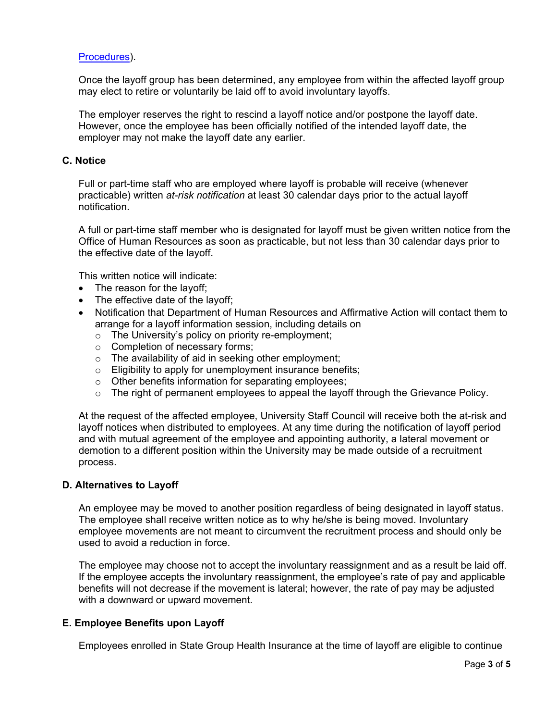#### Procedures).

Once the layoff group has been determined, any employee from within the affected layoff group may elect to retire or voluntarily be laid off to avoid involuntary layoffs.

The employer reserves the right to rescind a layoff notice and/or postpone the layoff date. However, once the employee has been officially notified of the intended layoff date, the employer may not make the layoff date any earlier.

#### **C. Notice**

Full or part-time staff who are employed where layoff is probable will receive (whenever practicable) written *at-risk notification* at least 30 calendar days prior to the actual layoff notification.

A full or part-time staff member who is designated for layoff must be given written notice from the Office of Human Resources as soon as practicable, but not less than 30 calendar days prior to the effective date of the layoff.

This written notice will indicate:

- The reason for the layoff;
- The effective date of the layoff;
- Notification that Department of Human Resources and Affirmative Action will contact them to arrange for a layoff information session, including details on
	- $\circ$  The University's policy on priority re-employment;
	- o Completion of necessary forms;
	- o The availability of aid in seeking other employment;
	- $\circ$  Eligibility to apply for unemployment insurance benefits;
	- o Other benefits information for separating employees;
	- $\circ$  The right of permanent employees to appeal the layoff through the Grievance Policy.

At the request of the affected employee, University Staff Council will receive both the at-risk and layoff notices when distributed to employees. At any time during the notification of layoff period and with mutual agreement of the employee and appointing authority, a lateral movement or demotion to a different position within the University may be made outside of a recruitment process.

#### **D. Alternatives to Layoff**

An employee may be moved to another position regardless of being designated in layoff status. The employee shall receive written notice as to why he/she is being moved. Involuntary employee movements are not meant to circumvent the recruitment process and should only be used to avoid a reduction in force.

The employee may choose not to accept the involuntary reassignment and as a result be laid off. If the employee accepts the involuntary reassignment, the employee's rate of pay and applicable benefits will not decrease if the movement is lateral; however, the rate of pay may be adjusted with a downward or upward movement.

#### **E. Employee Benefits upon Layoff**

Employees enrolled in State Group Health Insurance at the time of layoff are eligible to continue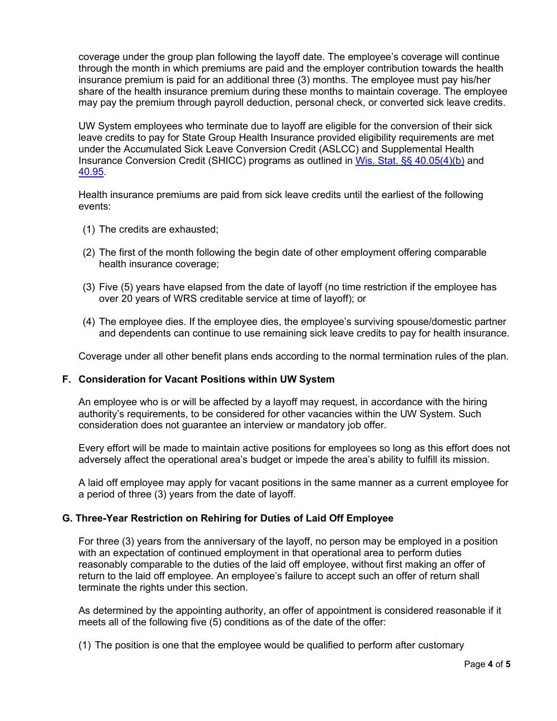coverage under the group plan following the layoff date. The employee's coverage will continue through the month in which premiums are paid and the employer contribution towards the health insurance premium is paid for an additional three (3) months. The employee must pay his/her share of the health insurance premium during these months to maintain coverage. The employee may pay the premium through payroll deduction, personal check, or converted sick leave credits.

UW System employees who terminate due to layoff are eligible for the conversion of their sick leave credits to pay for State Group Health Insurance provided eligibility requirements are met under the Accumulated Sick Leave Conversion Credit (ASLCC) and Supplemental Health Insurance Conversion Credit (SHICC) programs as outlined in [Wis. Stat. §§ 40.05\(4\)\(b\)](http://docs.legis.wisconsin.gov/statutes/statutes/40/I/05/4/b) and [40.95.](http://docs.legis.wisconsin.gov/statutes/statutes/40/IX/95)

Health insurance premiums are paid from sick leave credits until the earliest of the following events:

- (1) The credits are exhausted;
- (2) The first of the month following the begin date of other employment offering comparable health insurance coverage;
- (3) Five (5) years have elapsed from the date of layoff (no time restriction if the employee has over 20 years of WRS creditable service at time of layoff); or
- (4) The employee dies. If the employee dies, the employee's surviving spouse/domestic partner and dependents can continue to use remaining sick leave credits to pay for health insurance.

Coverage under all other benefit plans ends according to the normal termination rules of the plan.

#### **F. Consideration for Vacant Positions within UW System**

An employee who is or will be affected by a layoff may request, in accordance with the hiring authority's requirements, to be considered for other vacancies within the UW System. Such consideration does not guarantee an interview or mandatory job offer.

Every effort will be made to maintain active positions for employees so long as this effort does not adversely affect the operational area's budget or impede the area's ability to fulfill its mission.

A laid off employee may apply for vacant positions in the same manner as a current employee for a period of three (3) years from the date of layoff.

#### **G. Three-Year Restriction on Rehiring for Duties of Laid Off Employee**

For three (3) years from the anniversary of the layoff, no person may be employed in a position with an expectation of continued employment in that operational area to perform duties reasonably comparable to the duties of the laid off employee, without first making an offer of return to the laid off employee. An employee's failure to accept such an offer of return shall terminate the rights under this section.

As determined by the appointing authority, an offer of appointment is considered reasonable if it meets all of the following five (5) conditions as of the date of the offer:

(1) The position is one that the employee would be qualified to perform after customary